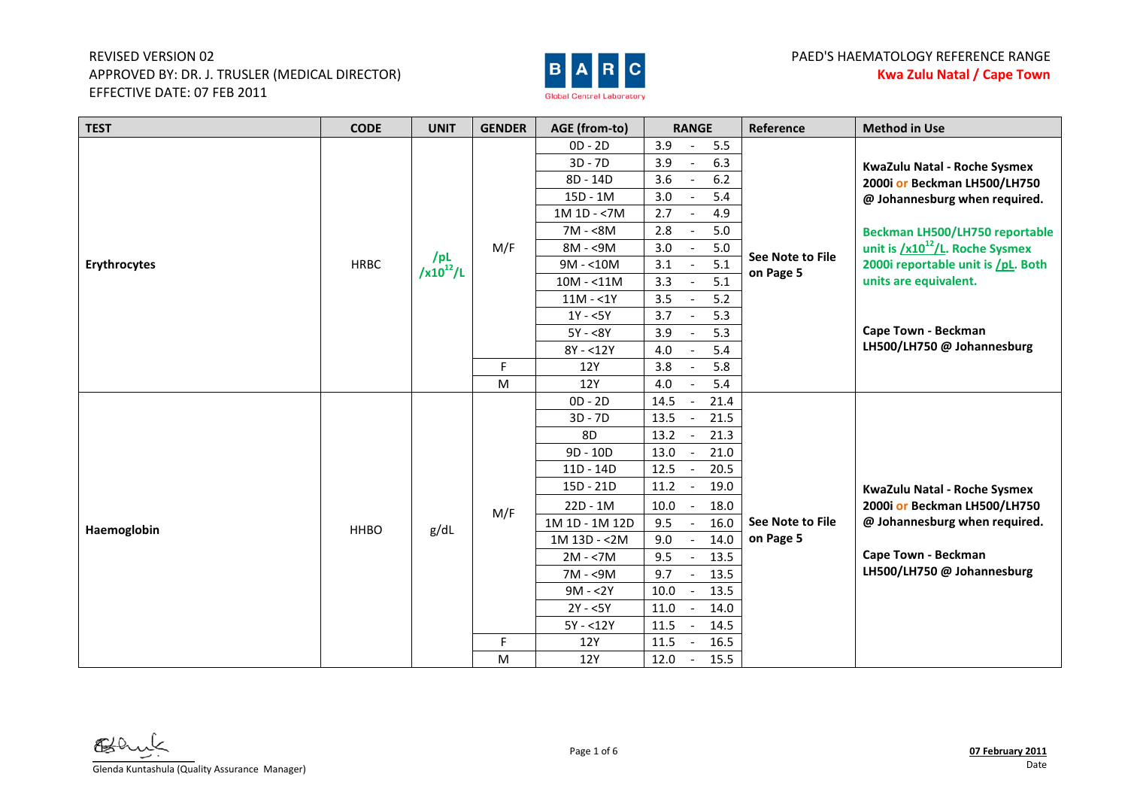

# PAED'S HAEMATOLOGY REFERENCE RANGE **Kwa Zulu Natal / Cape Town**

| <b>TEST</b>  | <b>CODE</b> | <b>UNIT</b>                         | <b>GENDER</b> | <b>AGE (from-to)</b> | <b>RANGE</b>                               | Reference        | <b>Method in Use</b>                 |
|--------------|-------------|-------------------------------------|---------------|----------------------|--------------------------------------------|------------------|--------------------------------------|
|              |             |                                     |               | $OD - 2D$            | 3.9<br>5.5                                 |                  |                                      |
|              |             |                                     |               | $3D - 7D$            | 3.9<br>6.3                                 |                  | KwaZulu Natal - Roche Sysmex         |
|              |             |                                     |               | 8D - 14D             | $6.2\,$<br>3.6<br>$\overline{\phantom{a}}$ |                  | 2000i or Beckman LH500/LH750         |
|              |             |                                     |               | 15D - 1M             | 5.4<br>3.0                                 |                  | @ Johannesburg when required.        |
|              |             |                                     |               | 1M 1D - <7M          | 2.7<br>4.9                                 |                  |                                      |
|              |             |                                     |               | $7M - 8M$            | 2.8<br>5.0                                 |                  | Beckman LH500/LH750 reportable       |
|              |             | /PL                                 | M/F           | 8M - <9M             | 3.0<br>$5.0\,$                             | See Note to File | unit is $/x10^{12}/L$ . Roche Sysmex |
| Erythrocytes | <b>HRBC</b> | $\frac{1}{2}$ /x10 <sup>12</sup> /L |               | $9M - 10M$           | 5.1<br>3.1                                 | on Page 5        | 2000i reportable unit is /pL. Both   |
|              |             |                                     |               | $10M - 11M$          | 5.1<br>3.3                                 |                  | units are equivalent.                |
|              |             |                                     |               | $11M - 1Y$           | 3.5<br>5.2                                 |                  |                                      |
|              |             |                                     |               | $1Y - 5Y$            | 3.7<br>5.3                                 |                  |                                      |
|              |             |                                     |               | $5Y - 8Y$            | 3.9<br>5.3                                 |                  | Cape Town - Beckman                  |
|              |             |                                     |               | $8Y - 12Y$           | 5.4<br>4.0<br>$\sim$                       |                  | LH500/LH750 @ Johannesburg           |
|              |             |                                     | F             | 12Y                  | 5.8<br>3.8                                 |                  |                                      |
|              |             |                                     | ${\sf M}$     | <b>12Y</b>           | 5.4<br>4.0                                 |                  |                                      |
|              |             |                                     |               | $OD - 2D$            | 21.4<br>14.5                               |                  |                                      |
|              |             |                                     |               | $3D - 7D$            | 21.5<br>13.5                               |                  |                                      |
|              |             |                                     |               | 8D                   | 13.2<br>21.3                               |                  |                                      |
|              |             |                                     |               | 9D - 10D             | 13.0<br>21.0                               |                  |                                      |
|              |             |                                     |               | 11D - 14D            | 12.5<br>20.5                               |                  |                                      |
|              |             |                                     |               | 15D - 21D            | 11.2<br>19.0<br>$\overline{\phantom{a}}$   |                  | KwaZulu Natal - Roche Sysmex         |
|              |             |                                     | M/F           | $22D - 1M$           | 10.0<br>18.0                               |                  | 2000i or Beckman LH500/LH750         |
| Haemoglobin  | <b>HHBO</b> | g/dL                                |               | 1M 1D - 1M 12D       | 16.0<br>9.5                                | See Note to File | @ Johannesburg when required.        |
|              |             |                                     |               | 1M 13D - < 2M        | 9.0<br>14.0                                | on Page 5        |                                      |
|              |             |                                     |               | $2M - 7M$            | 9.5<br>13.5                                |                  | Cape Town - Beckman                  |
|              |             |                                     |               | 7M - <9M             | 9.7<br>13.5                                |                  | LH500/LH750 @ Johannesburg           |
|              |             |                                     |               | $9M - 2Y$            | 10.0<br>13.5                               |                  |                                      |
|              |             |                                     |               | $2Y - 5Y$            | 11.0<br>14.0                               |                  |                                      |
|              |             |                                     |               | $5Y - 12Y$           | 14.5<br>11.5                               |                  |                                      |
|              |             |                                     | F             | 12Y                  | 11.5<br>16.5                               |                  |                                      |
|              |             |                                     | M             | 12Y                  | 15.5<br>12.0<br>$\overline{\phantom{a}}$   |                  |                                      |

Glenda Kuntashula (Quality Assurance Manager)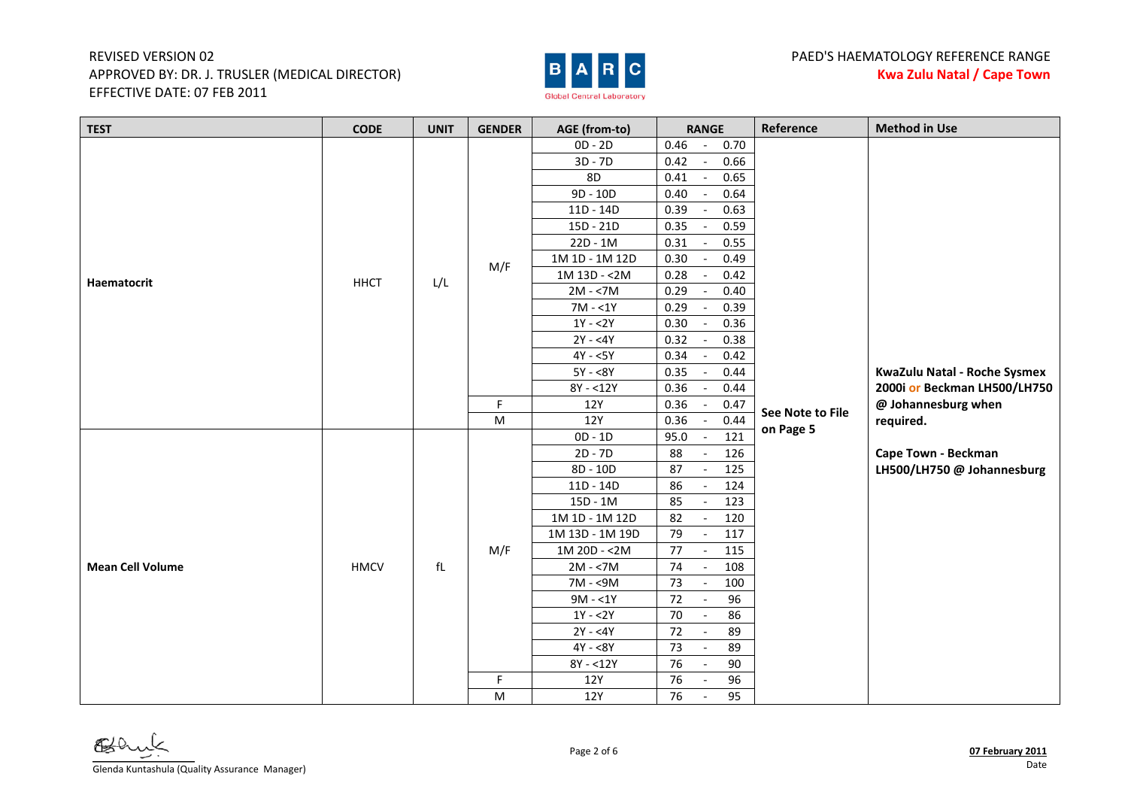

| <b>TEST</b>             | <b>CODE</b> | <b>UNIT</b>            | <b>GENDER</b> | AGE (from-to)   | <b>RANGE</b>                             | Reference        | <b>Method in Use</b>         |
|-------------------------|-------------|------------------------|---------------|-----------------|------------------------------------------|------------------|------------------------------|
|                         |             |                        |               | $OD - 2D$       | 0.46<br>0.70<br>$\overline{\phantom{a}}$ |                  |                              |
|                         |             |                        |               | $3D - 7D$       | 0.42<br>0.66                             |                  |                              |
|                         |             |                        |               | 8D              | 0.41<br>0.65                             |                  |                              |
|                         |             |                        |               | 9D - 10D        | $0.40\,$<br>0.64                         |                  |                              |
|                         |             |                        |               | $11D - 14D$     | 0.39<br>0.63                             |                  |                              |
|                         |             |                        |               | 15D - 21D       | 0.35<br>0.59                             |                  |                              |
|                         |             |                        |               | $22D - 1M$      | 0.31<br>0.55                             |                  |                              |
|                         |             |                        | M/F           | 1M 1D - 1M 12D  | 0.30<br>0.49<br>$\sim$                   |                  |                              |
| Haematocrit             | <b>HHCT</b> | L/L                    |               | 1M 13D - < 2M   | 0.28<br>0.42                             |                  |                              |
|                         |             |                        |               | $2M - 57M$      | 0.29<br>0.40                             |                  |                              |
|                         |             |                        |               | $7M - 1Y$       | 0.29<br>0.39                             |                  |                              |
|                         |             |                        |               | $1Y - 2Y$       | 0.30<br>0.36                             |                  |                              |
|                         |             |                        |               | $2Y - 4Y$       | 0.32<br>0.38                             |                  |                              |
|                         |             |                        |               | $4Y - 5Y$       | 0.34<br>0.42                             |                  |                              |
|                         |             |                        |               | $5Y - 8Y$       | 0.35<br>0.44                             |                  | KwaZulu Natal - Roche Sysmex |
|                         |             |                        |               | $8Y - 12Y$      | 0.36<br>0.44                             |                  | 2000i or Beckman LH500/LH750 |
|                         |             |                        | $\mathsf F$   | 12Y             | 0.36<br>0.47                             | See Note to File | @ Johannesburg when          |
|                         |             |                        | M             | <b>12Y</b>      | 0.44<br>0.36                             | on Page 5        | required.                    |
|                         |             |                        |               | $OD - 1D$       | 95.0<br>$\overline{121}$                 |                  |                              |
|                         |             |                        |               | $2D - 7D$       | 88<br>126                                |                  | Cape Town - Beckman          |
|                         |             |                        |               | 8D - 10D        | 87<br>125                                |                  | LH500/LH750 @ Johannesburg   |
|                         |             |                        |               | $11D - 14D$     | 86<br>124                                |                  |                              |
|                         |             |                        |               | 15D - 1M        | 85<br>123                                |                  |                              |
|                         |             |                        |               | 1M 1D - 1M 12D  | 82<br>120<br>$\sim$                      |                  |                              |
|                         |             |                        |               | 1M 13D - 1M 19D | 79<br>117<br>$\overline{\phantom{a}}$    |                  |                              |
|                         |             |                        | M/F           | 1M 20D - <2M    | 77<br>115<br>$\sim$                      |                  |                              |
| <b>Mean Cell Volume</b> | <b>HMCV</b> | $\ensuremath{{\sf f}}$ |               | $2M - 7M$       | 74<br>108<br>$\sim$                      |                  |                              |
|                         |             |                        |               | 7M - <9M        | 73<br>100<br>$\sim$                      |                  |                              |
|                         |             |                        |               | $9M - 1Y$       | 72<br>96<br>$\overline{\phantom{a}}$     |                  |                              |
|                         |             |                        |               | $1Y - 2Y$       | 70<br>86<br>$\overline{\phantom{a}}$     |                  |                              |
|                         |             |                        |               | $2Y - 4Y$       | 72<br>89                                 |                  |                              |
|                         |             |                        |               | $4Y - 8Y$       | 73<br>89<br>$\blacksquare$               |                  |                              |
|                         |             |                        |               | $8Y - 12Y$      | 76<br>90<br>$\overline{\phantom{a}}$     |                  |                              |
|                         |             |                        | F.            | 12Y             | 76<br>96                                 |                  |                              |
|                         |             |                        | M             | 12Y             | 76<br>95                                 |                  |                              |

Glenda Kuntashula (Quality Assurance Manager)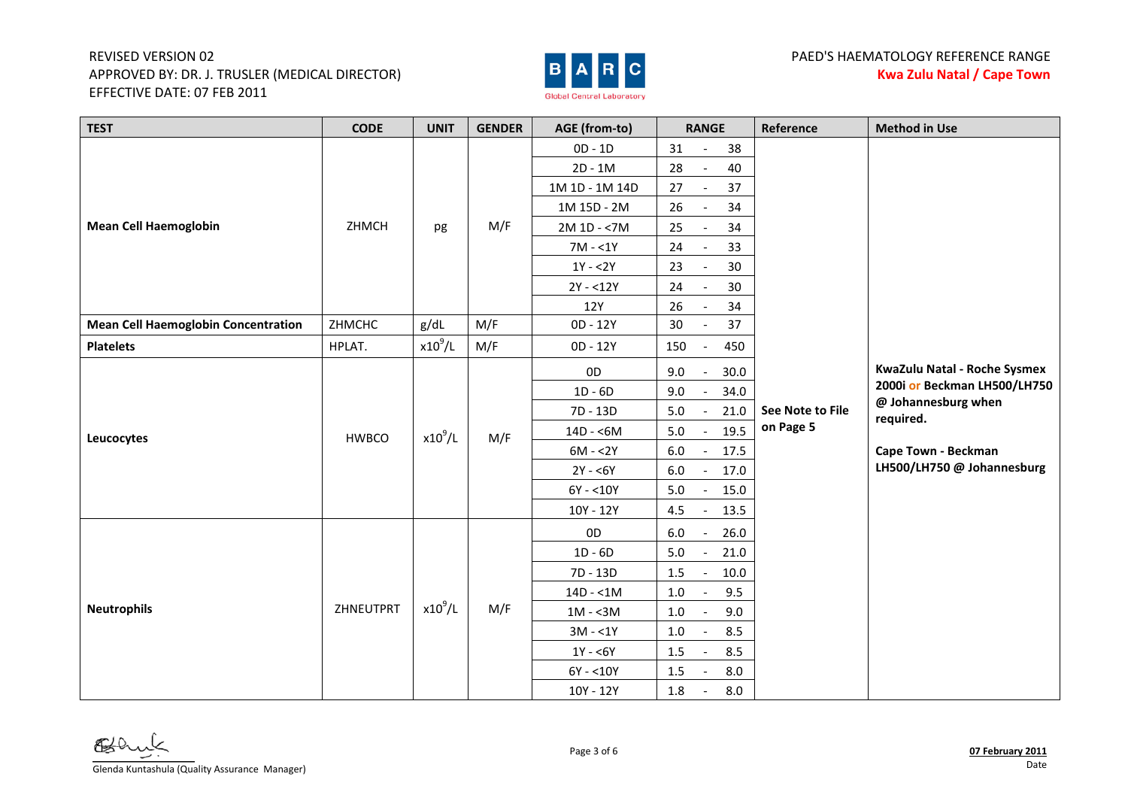

| <b>TEST</b>                                | <b>CODE</b>  | <b>UNIT</b> | <b>GENDER</b> | AGE (from-to)  | <b>RANGE</b>                                | Reference                     | <b>Method in Use</b>                                                                  |
|--------------------------------------------|--------------|-------------|---------------|----------------|---------------------------------------------|-------------------------------|---------------------------------------------------------------------------------------|
|                                            |              |             |               | $OD - 1D$      | 31<br>38                                    |                               |                                                                                       |
|                                            |              |             |               | $2D - 1M$      | 28<br>40<br>$\blacksquare$                  |                               |                                                                                       |
|                                            |              |             |               | 1M 1D - 1M 14D | 37<br>27                                    |                               |                                                                                       |
|                                            |              |             |               | 1M 15D - 2M    | 34<br>26<br>$\overline{\phantom{a}}$        |                               |                                                                                       |
| <b>Mean Cell Haemoglobin</b>               | ZHMCH        | pg          | M/F           | $2M 1D - 7M$   | 25<br>34                                    |                               |                                                                                       |
|                                            |              |             |               | $7M - 1Y$      | 33<br>24                                    |                               |                                                                                       |
|                                            |              |             |               | $1Y - 2Y$      | 23<br>30                                    |                               |                                                                                       |
|                                            |              |             |               | $2Y - 12Y$     | 30<br>24                                    |                               |                                                                                       |
|                                            |              |             |               | 12Y            | 26<br>34                                    |                               |                                                                                       |
| <b>Mean Cell Haemoglobin Concentration</b> | ZHMCHC       | g/dL        | M/F           | 0D - 12Y       | 30<br>37                                    |                               |                                                                                       |
| <b>Platelets</b>                           | HPLAT.       | $x10^9$ /L  | M/F           | 0D - 12Y       | 150<br>450<br>$\overline{\phantom{a}}$      |                               |                                                                                       |
|                                            |              |             |               | 0 <sub>D</sub> | 30.0<br>9.0                                 |                               | KwaZulu Natal - Roche Sysmex                                                          |
|                                            |              |             |               | $1D - 6D$      | 34.0<br>9.0                                 |                               | 2000i or Beckman LH500/LH750                                                          |
|                                            | <b>HWBCO</b> | $x10^9/L$   |               | 7D - 13D       | $5.0$<br>21.0                               | See Note to File<br>on Page 5 | @ Johannesburg when<br>required.<br>Cape Town - Beckman<br>LH500/LH750 @ Johannesburg |
| Leucocytes                                 |              |             | M/F           | $14D - 6M$     | 19.5<br>5.0                                 |                               |                                                                                       |
|                                            |              |             |               | $6M - 2Y$      | $6.0\,$<br>17.5<br>$\overline{a}$           |                               |                                                                                       |
|                                            |              |             |               | $2Y - 6Y$      | $6.0\,$<br>17.0<br>$\overline{\phantom{a}}$ |                               |                                                                                       |
|                                            |              |             |               | $6Y - 10Y$     | 5.0<br>15.0<br>$\overline{\phantom{a}}$     |                               |                                                                                       |
|                                            |              |             |               | 10Y - 12Y      | 13.5<br>4.5<br>$\overline{\phantom{a}}$     |                               |                                                                                       |
|                                            |              |             |               | 0 <sub>D</sub> | $6.0\,$<br>26.0<br>$\overline{\phantom{a}}$ |                               |                                                                                       |
|                                            |              |             |               | $1D - 6D$      | 21.0<br>5.0<br>$\overline{\phantom{a}}$     |                               |                                                                                       |
|                                            |              |             |               | 7D - 13D       | 1.5<br>10.0<br>$\overline{\phantom{a}}$     |                               |                                                                                       |
|                                            |              |             |               | $14D - 1M$     | 9.5<br>$1.0\,$                              |                               |                                                                                       |
| <b>Neutrophils</b>                         | ZHNEUTPRT    | $x10^9$ /L  | M/F           | $1M - 3M$      | 9.0<br>$1.0\,$<br>$\overline{\phantom{a}}$  |                               |                                                                                       |
|                                            |              |             |               | $3M - 1Y$      | 8.5<br>1.0<br>$\overline{\phantom{a}}$      |                               |                                                                                       |
|                                            |              |             |               | $1Y - 6Y$      | 8.5<br>$1.5\,$<br>$\sim$                    |                               |                                                                                       |
|                                            |              |             |               | $6Y - 10Y$     | 8.0<br>1.5<br>$\overline{\phantom{a}}$      |                               |                                                                                       |
|                                            |              |             |               | 10Y - 12Y      | 1.8<br>8.0<br>$\sim$                        |                               |                                                                                       |

Glenda Kuntashula (Quality Assurance Manager)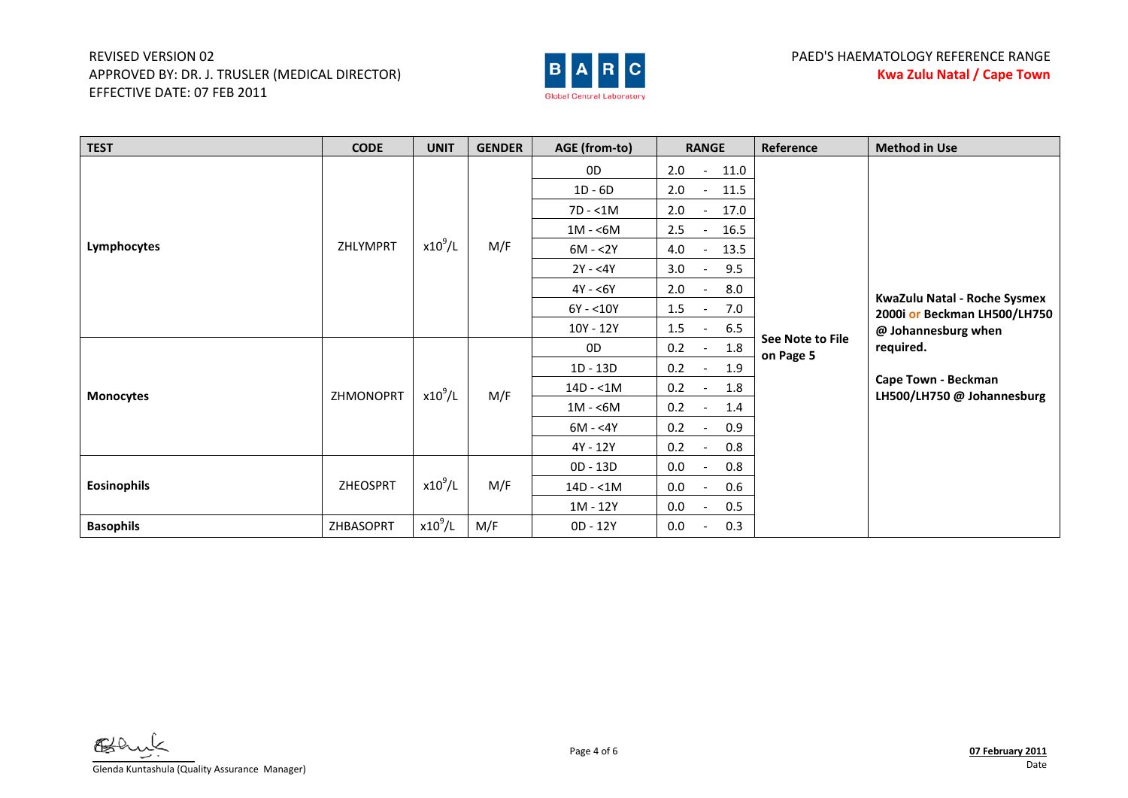

| <b>TEST</b>        | <b>CODE</b> | <b>UNIT</b> | <b>GENDER</b> | AGE (from-to) | <b>RANGE</b>                            | Reference        | <b>Method in Use</b>                              |
|--------------------|-------------|-------------|---------------|---------------|-----------------------------------------|------------------|---------------------------------------------------|
|                    |             |             |               | 0D            | 2.0<br>11.0<br>$\sim$                   |                  |                                                   |
|                    |             |             |               | $1D - 6D$     | 2.0<br>11.5<br>$-$                      |                  |                                                   |
|                    |             |             |               | $7D - 1M$     | 2.0<br>17.0<br>$\overline{\phantom{a}}$ |                  |                                                   |
|                    |             |             |               | $1M - 6M$     | 2.5<br>16.5<br>$-$                      |                  |                                                   |
| Lymphocytes        | ZHLYMPRT    | $x10^9$ /L  | M/F           | $6M - 2Y$     | 4.0<br>13.5                             |                  |                                                   |
|                    |             |             |               | $2Y - 4Y$     | 3.0<br>9.5                              |                  |                                                   |
|                    |             |             |               | $4Y - 6Y$     | 2.0<br>8.0                              |                  | KwaZulu Natal - Roche Sysmex                      |
|                    |             |             |               | $6Y - 10Y$    | 1.5<br>7.0                              |                  | 2000i or Beckman LH500/LH750                      |
|                    |             |             |               | 10Y - 12Y     | 1.5<br>6.5<br>$\overline{\phantom{a}}$  | See Note to File | @ Johannesburg when                               |
|                    |             |             |               | 0D            | 1.8<br>0.2                              | on Page 5        | required.                                         |
|                    |             |             |               | $1D - 13D$    | 0.2<br>1.9                              |                  |                                                   |
| <b>Monocytes</b>   | ZHMONOPRT   | $x10^9$ /L  | M/F           | $14D - 1M$    | 0.2<br>1.8                              |                  | Cape Town - Beckman<br>LH500/LH750 @ Johannesburg |
|                    |             |             |               | $1M - 6M$     | 0.2<br>1.4                              |                  |                                                   |
|                    |             |             |               | $6M - 4Y$     | 0.2<br>0.9<br>$\overline{\phantom{0}}$  |                  |                                                   |
|                    |             |             |               | 4Y - 12Y      | 0.2<br>0.8                              |                  |                                                   |
|                    |             |             |               | 0D - 13D      | 0.0<br>0.8                              |                  |                                                   |
| <b>Eosinophils</b> | ZHEOSPRT    | $x10^9$ /L  | M/F           | $14D - 1M$    | 0.0<br>0.6                              |                  |                                                   |
|                    |             |             |               | 1M - 12Y      | 0.0<br>0.5                              |                  |                                                   |
| <b>Basophils</b>   | ZHBASOPRT   | $x10^9$ /L  | M/F           | 0D - 12Y      | 0.3<br>0.0                              |                  |                                                   |

AKO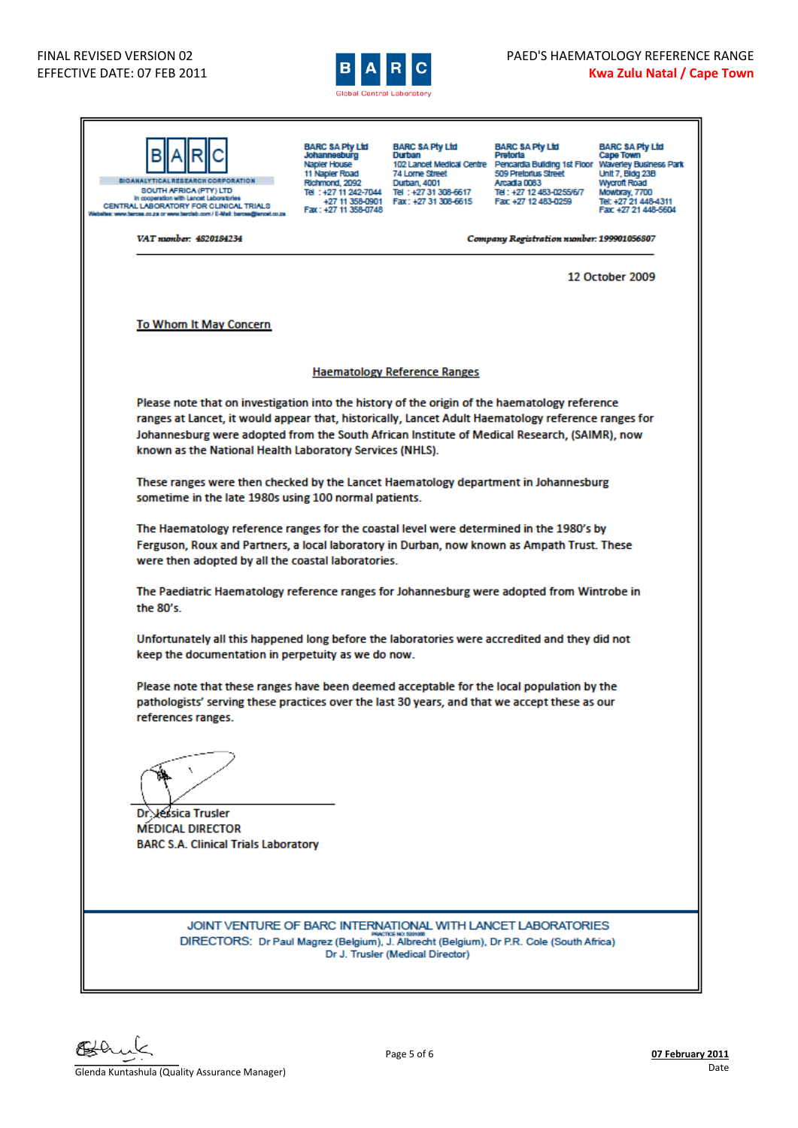

| <b>BIOANALYTICAL RESEARCH CORPORATION</b><br>SOUTH AFRICA (PTY) LTD<br>In cooperation with Lancet Laboratories<br>CENTRAL LABORATORY FOR CLINICAL TRIALS<br>sites: www.bercea.co.za or www.barclab.com / E-Mail: barcea@ianoet.co.za                                                                                                                             | <b>BARC SA Pty Ltd</b><br>Johannesburg<br>Napler House<br>11 Napler Road<br>Richmond, 2092<br>Fax: +27 11 358-0748 | <b>BARC SA Pty Ltd</b><br>Durban<br>74 Lorne Street<br>Durban, 4001<br>Tel: +27 11 242-7044 Tel: +27 31 308-6617<br>+27 11 358-0901   Fax: +27 31 308-6615 | <b>BARC SA Pty Ltd</b><br>Pretoria<br>102 Lancet Medical Centre Pencardia Building 1st Floor Waverley Business Park<br>509 Pretorius Street<br>Arcadia 0083<br>Tel: +27 12 483-0255/6/7<br>Fax: +27 12 483-0259 | <b>BARC SA Pty Ltd</b><br>Cape Town<br><b>Unit 7, Bidg 23B</b><br><b>Wycroft Road</b><br>Mowbray, 7700<br>Tel: +27 21 448-4311<br>Fax: +27 21 448-5604 |
|------------------------------------------------------------------------------------------------------------------------------------------------------------------------------------------------------------------------------------------------------------------------------------------------------------------------------------------------------------------|--------------------------------------------------------------------------------------------------------------------|------------------------------------------------------------------------------------------------------------------------------------------------------------|-----------------------------------------------------------------------------------------------------------------------------------------------------------------------------------------------------------------|--------------------------------------------------------------------------------------------------------------------------------------------------------|
| VAT momber: 4820184234                                                                                                                                                                                                                                                                                                                                           |                                                                                                                    |                                                                                                                                                            | Company Registration number: 199901056807                                                                                                                                                                       |                                                                                                                                                        |
|                                                                                                                                                                                                                                                                                                                                                                  |                                                                                                                    |                                                                                                                                                            |                                                                                                                                                                                                                 | 12 October 2009                                                                                                                                        |
| To Whom It May Concern                                                                                                                                                                                                                                                                                                                                           |                                                                                                                    |                                                                                                                                                            |                                                                                                                                                                                                                 |                                                                                                                                                        |
|                                                                                                                                                                                                                                                                                                                                                                  |                                                                                                                    | <b>Haematology Reference Ranges</b>                                                                                                                        |                                                                                                                                                                                                                 |                                                                                                                                                        |
| Please note that on investigation into the history of the origin of the haematology reference<br>ranges at Lancet, it would appear that, historically, Lancet Adult Haematology reference ranges for<br>Johannesburg were adopted from the South African Institute of Medical Research, (SAIMR), now<br>known as the National Health Laboratory Services (NHLS). |                                                                                                                    |                                                                                                                                                            |                                                                                                                                                                                                                 |                                                                                                                                                        |
| These ranges were then checked by the Lancet Haematology department in Johannesburg<br>sometime in the late 1980s using 100 normal patients.                                                                                                                                                                                                                     |                                                                                                                    |                                                                                                                                                            |                                                                                                                                                                                                                 |                                                                                                                                                        |
| The Haematology reference ranges for the coastal level were determined in the 1980's by<br>Ferguson, Roux and Partners, a local laboratory in Durban, now known as Ampath Trust. These<br>were then adopted by all the coastal laboratories.                                                                                                                     |                                                                                                                    |                                                                                                                                                            |                                                                                                                                                                                                                 |                                                                                                                                                        |
| The Paediatric Haematology reference ranges for Johannesburg were adopted from Wintrobe in<br>the 80's.                                                                                                                                                                                                                                                          |                                                                                                                    |                                                                                                                                                            |                                                                                                                                                                                                                 |                                                                                                                                                        |
| Unfortunately all this happened long before the laboratories were accredited and they did not<br>keep the documentation in perpetuity as we do now.                                                                                                                                                                                                              |                                                                                                                    |                                                                                                                                                            |                                                                                                                                                                                                                 |                                                                                                                                                        |
| Please note that these ranges have been deemed acceptable for the local population by the<br>pathologists' serving these practices over the last 30 years, and that we accept these as our<br>references ranges.                                                                                                                                                 |                                                                                                                    |                                                                                                                                                            |                                                                                                                                                                                                                 |                                                                                                                                                        |
| Jessica Trusler<br>Dr.<br><b>MEDICAL DIRECTOR</b><br><b>BARC S.A. Clinical Trials Laboratory</b>                                                                                                                                                                                                                                                                 |                                                                                                                    |                                                                                                                                                            |                                                                                                                                                                                                                 |                                                                                                                                                        |
| JOINT VENTURE OF BARC INTERNATIONAL WITH LANCET LABORATORIES<br>DIRECTORS: Dr Paul Magrez (Belgium), J. Albrecht (Belgium), Dr P.R. Cole (South Africa)                                                                                                                                                                                                          |                                                                                                                    | Dr J. Trusler (Medical Director)                                                                                                                           |                                                                                                                                                                                                                 |                                                                                                                                                        |